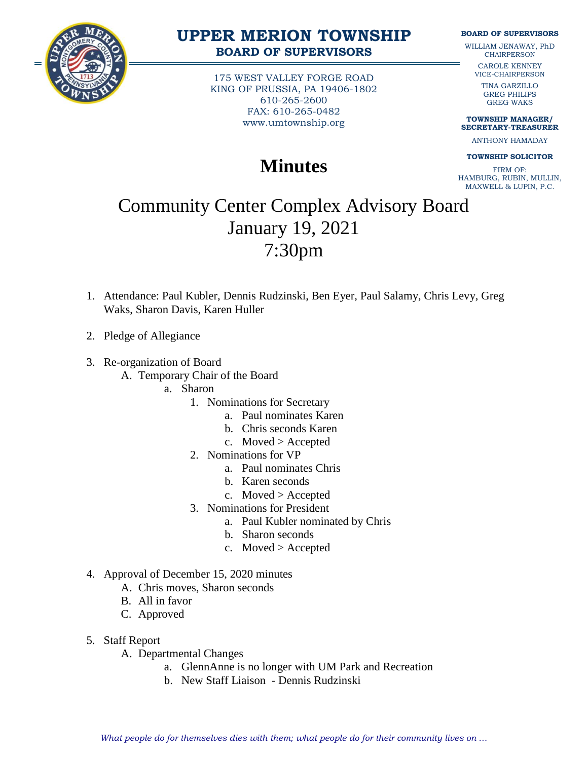

### **UPPER MERION TOWNSHIP BOARD OF SUPERVISORS**

175 WEST VALLEY FORGE ROAD KING OF PRUSSIA, PA 19406-1802 610-265-2600 FAX: 610-265-0482 www.umtownship.org

# **Minutes**

#### **BOARD OF SUPERVISORS**

WILLIAM JENAWAY, PhD **CHAIRPERSON** 

> CAROLE KENNEY VICE-CHAIRPERSON

TINA GARZILLO GREG PHILIPS GREG WAKS

**TOWNSHIP MANAGER/ SECRETARY-TREASURER**

ANTHONY HAMADAY

#### **TOWNSHIP SOLICITOR**

FIRM OF: HAMBURG, RUBIN, MULLIN, MAXWELL & LUPIN, P.C.

# Community Center Complex Advisory Board January 19, 2021 7:30pm

- 1. Attendance: Paul Kubler, Dennis Rudzinski, Ben Eyer, Paul Salamy, Chris Levy, Greg Waks, Sharon Davis, Karen Huller
- 2. Pledge of Allegiance
- 3. Re-organization of Board

A. Temporary Chair of the Board

- a. Sharon
	- 1. Nominations for Secretary
		- a. Paul nominates Karen
		- b. Chris seconds Karen
		- c. Moved > Accepted
	- 2. Nominations for VP
		- a. Paul nominates Chris
		- b. Karen seconds
		- c. Moved > Accepted
	- 3. Nominations for President
		- a. Paul Kubler nominated by Chris
		- b. Sharon seconds
		- c. Moved > Accepted
- 4. Approval of December 15, 2020 minutes
	- A. Chris moves, Sharon seconds
	- B. All in favor
	- C. Approved
- 5. Staff Report
	- A. Departmental Changes
		- a. GlennAnne is no longer with UM Park and Recreation
		- b. New Staff Liaison Dennis Rudzinski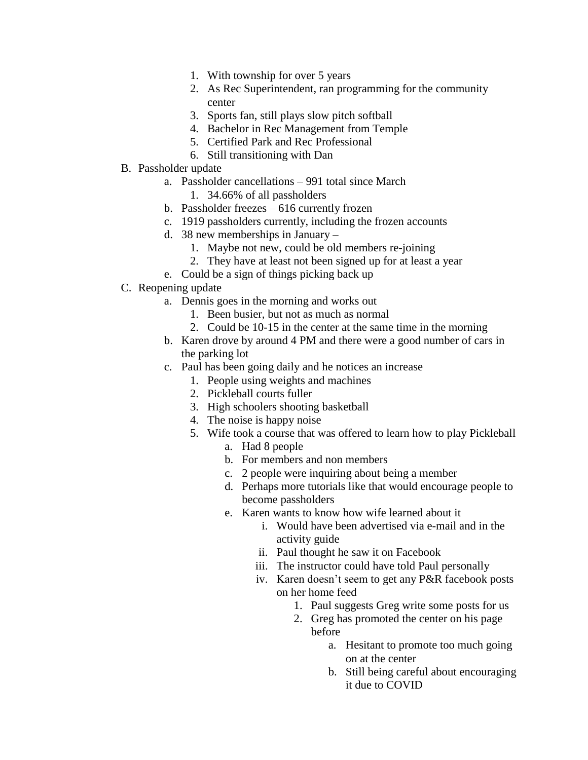- 1. With township for over 5 years
- 2. As Rec Superintendent, ran programming for the community center
- 3. Sports fan, still plays slow pitch softball
- 4. Bachelor in Rec Management from Temple
- 5. Certified Park and Rec Professional
- 6. Still transitioning with Dan
- B. Passholder update
	- a. Passholder cancellations 991 total since March
		- 1. 34.66% of all passholders
	- b. Passholder freezes 616 currently frozen
	- c. 1919 passholders currently, including the frozen accounts
	- d. 38 new memberships in January
		- 1. Maybe not new, could be old members re-joining
		- 2. They have at least not been signed up for at least a year
	- e. Could be a sign of things picking back up
- C. Reopening update
	- a. Dennis goes in the morning and works out
		- 1. Been busier, but not as much as normal
		- 2. Could be 10-15 in the center at the same time in the morning
	- b. Karen drove by around 4 PM and there were a good number of cars in the parking lot
	- c. Paul has been going daily and he notices an increase
		- 1. People using weights and machines
		- 2. Pickleball courts fuller
		- 3. High schoolers shooting basketball
		- 4. The noise is happy noise
		- 5. Wife took a course that was offered to learn how to play Pickleball
			- a. Had 8 people
			- b. For members and non members
			- c. 2 people were inquiring about being a member
			- d. Perhaps more tutorials like that would encourage people to become passholders
			- e. Karen wants to know how wife learned about it
				- i. Would have been advertised via e-mail and in the activity guide
				- ii. Paul thought he saw it on Facebook
				- iii. The instructor could have told Paul personally
				- iv. Karen doesn't seem to get any P&R facebook posts on her home feed
					- 1. Paul suggests Greg write some posts for us
					- 2. Greg has promoted the center on his page before
						- a. Hesitant to promote too much going on at the center
						- b. Still being careful about encouraging it due to COVID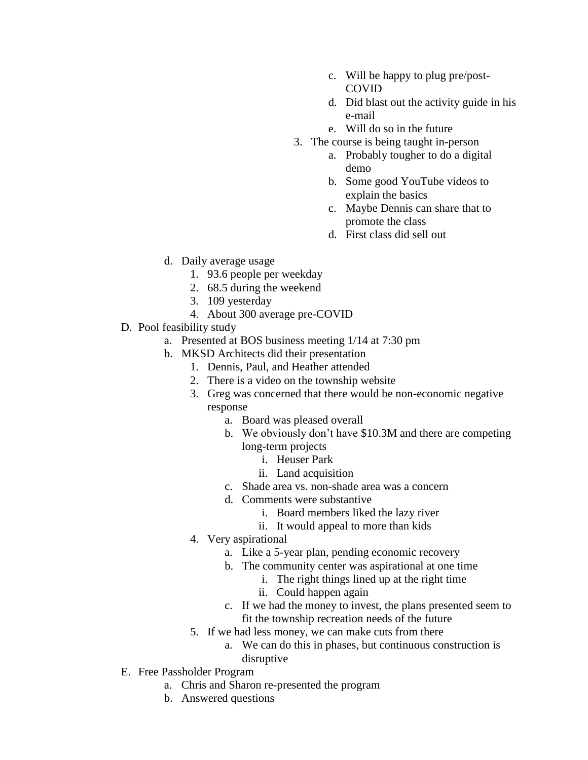- c. Will be happy to plug pre/post-COVID
- d. Did blast out the activity guide in his e-mail
- e. Will do so in the future
- 3. The course is being taught in-person
	- a. Probably tougher to do a digital demo
	- b. Some good YouTube videos to explain the basics
	- c. Maybe Dennis can share that to promote the class
	- d. First class did sell out
- d. Daily average usage
	- 1. 93.6 people per weekday
	- 2. 68.5 during the weekend
	- 3. 109 yesterday
	- 4. About 300 average pre-COVID
- D. Pool feasibility study
	- a. Presented at BOS business meeting 1/14 at 7:30 pm
	- b. MKSD Architects did their presentation
		- 1. Dennis, Paul, and Heather attended
		- 2. There is a video on the township website
		- 3. Greg was concerned that there would be non-economic negative response
			- a. Board was pleased overall
			- b. We obviously don't have \$10.3M and there are competing long-term projects
				- i. Heuser Park
				- ii. Land acquisition
			- c. Shade area vs. non-shade area was a concern
			- d. Comments were substantive
				- i. Board members liked the lazy river
				- ii. It would appeal to more than kids
		- 4. Very aspirational
			- a. Like a 5-year plan, pending economic recovery
			- b. The community center was aspirational at one time
				- i. The right things lined up at the right time
				- ii. Could happen again
			- c. If we had the money to invest, the plans presented seem to fit the township recreation needs of the future
		- 5. If we had less money, we can make cuts from there
			- a. We can do this in phases, but continuous construction is disruptive
- E. Free Passholder Program
	- a. Chris and Sharon re-presented the program
	- b. Answered questions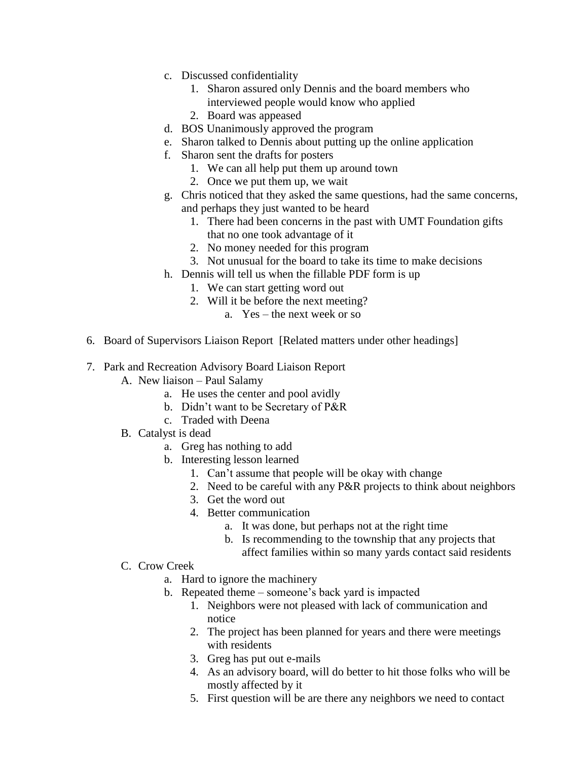- c. Discussed confidentiality
	- 1. Sharon assured only Dennis and the board members who interviewed people would know who applied
	- 2. Board was appeased
- d. BOS Unanimously approved the program
- e. Sharon talked to Dennis about putting up the online application
- f. Sharon sent the drafts for posters
	- 1. We can all help put them up around town
	- 2. Once we put them up, we wait
- g. Chris noticed that they asked the same questions, had the same concerns, and perhaps they just wanted to be heard
	- 1. There had been concerns in the past with UMT Foundation gifts that no one took advantage of it
	- 2. No money needed for this program
	- 3. Not unusual for the board to take its time to make decisions
- h. Dennis will tell us when the fillable PDF form is up
	- 1. We can start getting word out
	- 2. Will it be before the next meeting?
		- a. Yes the next week or so
- 6. Board of Supervisors Liaison Report [Related matters under other headings]
- 7. Park and Recreation Advisory Board Liaison Report
	- A. New liaison Paul Salamy
		- a. He uses the center and pool avidly
		- b. Didn't want to be Secretary of P&R
		- c. Traded with Deena
	- B. Catalyst is dead
		- a. Greg has nothing to add
		- b. Interesting lesson learned
			- 1. Can't assume that people will be okay with change
			- 2. Need to be careful with any P&R projects to think about neighbors
			- 3. Get the word out
			- 4. Better communication
				- a. It was done, but perhaps not at the right time
				- b. Is recommending to the township that any projects that affect families within so many yards contact said residents
	- C. Crow Creek
		- a. Hard to ignore the machinery
		- b. Repeated theme someone's back yard is impacted
			- 1. Neighbors were not pleased with lack of communication and notice
			- 2. The project has been planned for years and there were meetings with residents
			- 3. Greg has put out e-mails
			- 4. As an advisory board, will do better to hit those folks who will be mostly affected by it
			- 5. First question will be are there any neighbors we need to contact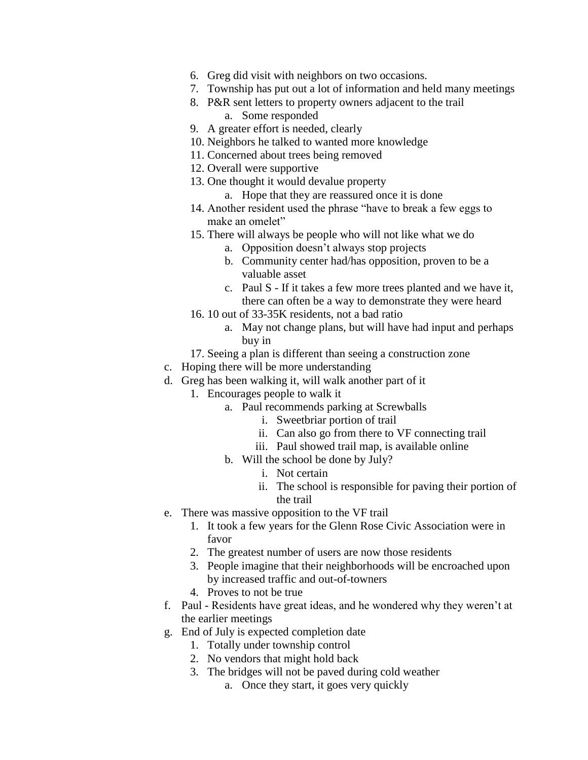- 6. Greg did visit with neighbors on two occasions.
- 7. Township has put out a lot of information and held many meetings
- 8. P&R sent letters to property owners adjacent to the trail a. Some responded
- 9. A greater effort is needed, clearly
- 10. Neighbors he talked to wanted more knowledge
- 11. Concerned about trees being removed
- 12. Overall were supportive
- 13. One thought it would devalue property
	- a. Hope that they are reassured once it is done
- 14. Another resident used the phrase "have to break a few eggs to make an omelet"
- 15. There will always be people who will not like what we do
	- a. Opposition doesn't always stop projects
	- b. Community center had/has opposition, proven to be a valuable asset
	- c. Paul S If it takes a few more trees planted and we have it, there can often be a way to demonstrate they were heard
- 16. 10 out of 33-35K residents, not a bad ratio
	- a. May not change plans, but will have had input and perhaps buy in
- 17. Seeing a plan is different than seeing a construction zone
- c. Hoping there will be more understanding
- d. Greg has been walking it, will walk another part of it
	- 1. Encourages people to walk it
		- a. Paul recommends parking at Screwballs
			- i. Sweetbriar portion of trail
			- ii. Can also go from there to VF connecting trail
			- iii. Paul showed trail map, is available online
		- b. Will the school be done by July?
			- i. Not certain
			- ii. The school is responsible for paving their portion of the trail
- e. There was massive opposition to the VF trail
	- 1. It took a few years for the Glenn Rose Civic Association were in favor
	- 2. The greatest number of users are now those residents
	- 3. People imagine that their neighborhoods will be encroached upon by increased traffic and out-of-towners
	- 4. Proves to not be true
- f. Paul Residents have great ideas, and he wondered why they weren't at the earlier meetings
- g. End of July is expected completion date
	- 1. Totally under township control
	- 2. No vendors that might hold back
	- 3. The bridges will not be paved during cold weather
		- a. Once they start, it goes very quickly